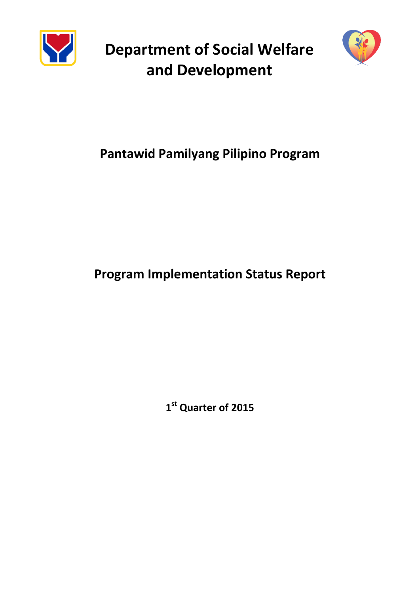

**Department of Social Welfare and Development**



# **Pantawid Pamilyang Pilipino Program**

# **Program Implementation Status Report**

**1 st Quarter of 2015**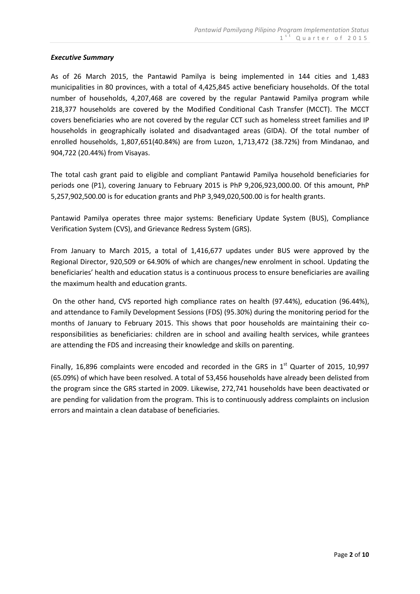#### *Executive Summary*

As of 26 March 2015, the Pantawid Pamilya is being implemented in 144 cities and 1,483 municipalities in 80 provinces, with a total of 4,425,845 active beneficiary households. Of the total number of households, 4,207,468 are covered by the regular Pantawid Pamilya program while 218,377 households are covered by the Modified Conditional Cash Transfer (MCCT). The MCCT covers beneficiaries who are not covered by the regular CCT such as homeless street families and IP households in geographically isolated and disadvantaged areas (GIDA). Of the total number of enrolled households, 1,807,651(40.84%) are from Luzon, 1,713,472 (38.72%) from Mindanao, and 904,722 (20.44%) from Visayas.

The total cash grant paid to eligible and compliant Pantawid Pamilya household beneficiaries for periods one (P1), covering January to February 2015 is PhP 9,206,923,000.00. Of this amount, PhP 5,257,902,500.00 is for education grants and PhP 3,949,020,500.00 is for health grants.

Pantawid Pamilya operates three major systems: Beneficiary Update System (BUS), Compliance Verification System (CVS), and Grievance Redress System (GRS).

From January to March 2015, a total of 1,416,677 updates under BUS were approved by the Regional Director, 920,509 or 64.90% of which are changes/new enrolment in school. Updating the beneficiaries' health and education status is a continuous process to ensure beneficiaries are availing the maximum health and education grants.

On the other hand, CVS reported high compliance rates on health (97.44%), education (96.44%), and attendance to Family Development Sessions (FDS) (95.30%) during the monitoring period for the months of January to February 2015. This shows that poor households are maintaining their coresponsibilities as beneficiaries: children are in school and availing health services, while grantees are attending the FDS and increasing their knowledge and skills on parenting.

Finally, 16,896 complaints were encoded and recorded in the GRS in  $1<sup>st</sup>$  Quarter of 2015, 10,997 (65.09%) of which have been resolved. A total of 53,456 households have already been delisted from the program since the GRS started in 2009. Likewise, 272,741 households have been deactivated or are pending for validation from the program. This is to continuously address complaints on inclusion errors and maintain a clean database of beneficiaries.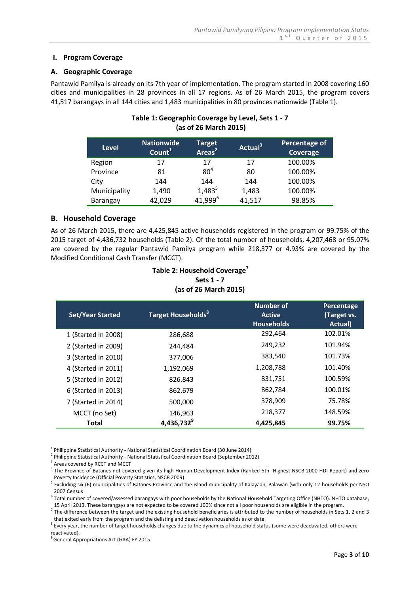#### **I. Program Coverage**

#### **A. Geographic Coverage**

Pantawid Pamilya is already on its 7th year of implementation. The program started in 2008 covering 160 cities and municipalities in 28 provinces in all 17 regions. As of 26 March 2015, the program covers 41,517 barangays in all 144 cities and 1,483 municipalities in 80 provinces nationwide (Table 1).

| , as or eo nharch eo 197 |                                         |                            |                     |                           |  |
|--------------------------|-----------------------------------------|----------------------------|---------------------|---------------------------|--|
| <b>Level</b>             | <b>Nationwide</b><br>Count <sup>1</sup> | <b>Target</b><br>Areas $2$ | Actual <sup>3</sup> | Percentage of<br>Coverage |  |
| Region                   | 17                                      | 17                         | 17                  | 100.00%                   |  |
| Province                 | 81                                      | 80 <sup>4</sup>            | 80                  | 100.00%                   |  |
| City                     | 144                                     | 144                        | 144                 | 100.00%                   |  |
| Municipality             | 1,490                                   | $1,483^{5}$                | 1,483               | 100.00%                   |  |
| Barangay                 | 42,029                                  | 41,999 <sup>6</sup>        | 41,517              | 98.85%                    |  |

# **Table 1: Geographic Coverage by Level, Sets 1 - 7 (as of 26 March 2015)**

# **B. Household Coverage**

As of 26 March 2015, there are 4,425,845 active households registered in the program or 99.75% of the 2015 target of 4,436,732 households (Table 2). Of the total number of households, 4,207,468 or 95.07% are covered by the regular Pantawid Pamilya program while 218,377 or 4.93% are covered by the Modified Conditional Cash Transfer (MCCT).

# **Table 2: Household Coverage<sup>7</sup> Sets 1 - 7 (as of 26 March 2015)**

| <b>Set/Year Started</b> | <b>Target Households</b> <sup>8</sup> | Number of<br><b>Active</b><br><b>Households</b> | Percentage<br>(Target vs.<br>Actual) |
|-------------------------|---------------------------------------|-------------------------------------------------|--------------------------------------|
| 1 (Started in 2008)     | 286,688                               | 292,464                                         | 102.01%                              |
| 2 (Started in 2009)     | 244.484                               | 249,232                                         | 101.94%                              |
| 3 (Started in 2010)     | 377,006                               | 383,540                                         | 101.73%                              |
| 4 (Started in 2011)     | 1,192,069                             | 1,208,788                                       | 101.40%                              |
| 5 (Started in 2012)     | 826,843                               | 831,751                                         | 100.59%                              |
| 6 (Started in 2013)     | 862,679                               | 862,784                                         | 100.01%                              |
| 7 (Started in 2014)     | 500,000                               | 378,909                                         | 75.78%                               |
| MCCT (no Set)           | 146,963                               | 218,377                                         | 148.59%                              |
| Total                   | 4,436,732 <sup>9</sup>                | 4,425,845                                       | 99.75%                               |

<u>.</u> <sup>1</sup> Philippine Statistical Authority - National Statistical Coordination Board (30 June 2014)

<sup>2</sup> Philippine Statistical Authority - National Statistical Coordination Board (September 2012)

<sup>5</sup> Excluding six (6) municipalities of Batanes Province and the island municipality of Kalayaan, Palawan (with only 12 households per NSO 2007 Census

<sup>8</sup> Every year, the number of target households changes due to the dynamics of household status (some were deactivated, others were reactivated).

<sup>&</sup>lt;sup>3</sup> Areas covered by RCCT and MCCT

<sup>4</sup> The Province of Batanes not covered given its high Human Development Index (Ranked 5th Highest NSCB 2000 HDI Report) and zero Poverty Incidence (Official Poverty Statistics, NSCB 2009)

<sup>&</sup>lt;sup>6</sup> Total number of covered/assessed barangays with poor households by the National Household Targeting Office (NHTO). NHTO database, 15 April 2013. These barangays are not expected to be covered 100% since not all poor households are eligible in the program.

 $^7$  The difference between the target and the existing household beneficiaries is attributed to the number of households in Sets 1, 2 and 3 that exited early from the program and the delisting and deactivation households as of date.

<sup>&</sup>lt;sup>9</sup> General Appropriations Act (GAA) FY 2015.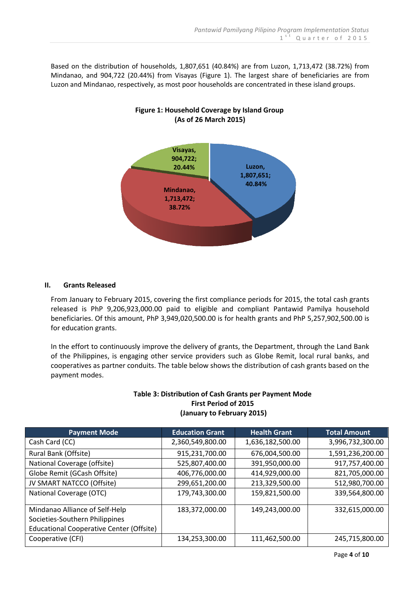Based on the distribution of households, 1,807,651 (40.84%) are from Luzon, 1,713,472 (38.72%) from Mindanao, and 904,722 (20.44%) from Visayas (Figure 1). The largest share of beneficiaries are from Luzon and Mindanao, respectively, as most poor households are concentrated in these island groups.



# **Figure 1: Household Coverage by Island Group (As of 26 March 2015)**

# **II. Grants Released**

From January to February 2015, covering the first compliance periods for 2015, the total cash grants released is PhP 9,206,923,000.00 paid to eligible and compliant Pantawid Pamilya household beneficiaries. Of this amount, PhP 3,949,020,500.00 is for health grants and PhP 5,257,902,500.00 is for education grants.

In the effort to continuously improve the delivery of grants, the Department, through the Land Bank of the Philippines, is engaging other service providers such as Globe Remit, local rural banks, and cooperatives as partner conduits. The table below shows the distribution of cash grants based on the payment modes.

| <b>Payment Mode</b>                             | <b>Education Grant</b> | <b>Health Grant</b> | <b>Total Amount</b> |
|-------------------------------------------------|------------------------|---------------------|---------------------|
| Cash Card (CC)                                  | 2,360,549,800.00       | 1,636,182,500.00    | 3,996,732,300.00    |
| Rural Bank (Offsite)                            | 915,231,700.00         | 676,004,500.00      | 1,591,236,200.00    |
| National Coverage (offsite)                     | 525,807,400.00         | 391,950,000.00      | 917,757,400.00      |
| Globe Remit (GCash Offsite)                     | 406,776,000.00         | 414,929,000.00      | 821,705,000.00      |
| JV SMART NATCCO (Offsite)                       | 299,651,200.00         | 213,329,500.00      | 512,980,700.00      |
| National Coverage (OTC)                         | 179,743,300.00         | 159,821,500.00      | 339,564,800.00      |
| Mindanao Alliance of Self-Help                  | 183,372,000.00         | 149,243,000.00      | 332,615,000.00      |
| Societies-Southern Philippines                  |                        |                     |                     |
| <b>Educational Cooperative Center (Offsite)</b> |                        |                     |                     |
| Cooperative (CFI)                               | 134,253,300.00         | 111,462,500.00      | 245,715,800.00      |

#### **Table 3: Distribution of Cash Grants per Payment Mode First Period of 2015 (January to February 2015)**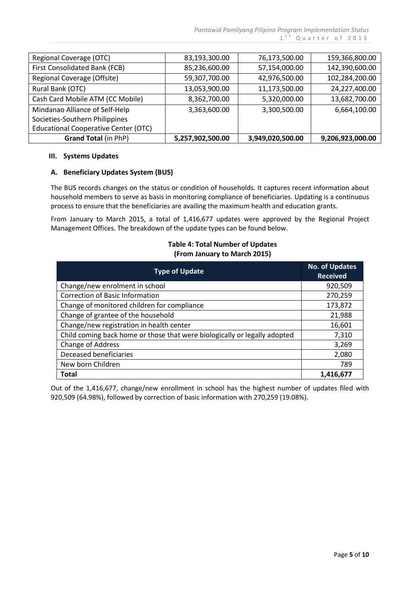| <b>Grand Total (in PhP)</b>                 | 5,257,902,500.00 | 3,949,020,500.00 | 9,206,923,000.00 |
|---------------------------------------------|------------------|------------------|------------------|
| <b>Educational Cooperative Center (OTC)</b> |                  |                  |                  |
| Societies-Southern Philippines              |                  |                  |                  |
| Mindanao Alliance of Self-Help              | 3,363,600.00     | 3,300,500.00     | 6,664,100.00     |
| Cash Card Mobile ATM (CC Mobile)            | 8,362,700.00     | 5,320,000.00     | 13,682,700.00    |
| Rural Bank (OTC)                            | 13,053,900.00    | 11,173,500.00    | 24,227,400.00    |
| Regional Coverage (Offsite)                 | 59,307,700.00    | 42,976,500.00    | 102,284,200.00   |
| First Consolidated Bank (FCB)               | 85,236,600.00    | 57,154,000.00    | 142,390,600.00   |
| Regional Coverage (OTC)                     | 83,193,300.00    | 76,173,500.00    | 159,366,800.00   |

#### **III. Systems Updates**

#### **A. Beneficiary Updates System (BUS)**

The BUS records changes on the status or condition of households. It captures recent information about household members to serve as basis in monitoring compliance of beneficiaries. Updating is a continuous process to ensure that the beneficiaries are availing the maximum health and education grants.

From January to March 2015, a total of 1,416,677 updates were approved by the Regional Project Management Offices. The breakdown of the update types can be found below.

## **Table 4: Total Number of Updates (From January to March 2015)**

| <b>Type of Update</b>                                                     | <b>No. of Updates</b><br><b>Received</b> |
|---------------------------------------------------------------------------|------------------------------------------|
| Change/new enrolment in school                                            | 920,509                                  |
| <b>Correction of Basic Information</b>                                    | 270,259                                  |
| Change of monitored children for compliance                               | 173,872                                  |
| Change of grantee of the household                                        | 21,988                                   |
| Change/new registration in health center                                  | 16,601                                   |
| Child coming back home or those that were biologically or legally adopted | 7,310                                    |
| Change of Address                                                         | 3,269                                    |
| Deceased beneficiaries                                                    | 2,080                                    |
| New born Children                                                         | 789                                      |
| <b>Total</b>                                                              | 1,416,677                                |

Out of the 1,416,677, change/new enrollment in school has the highest number of updates filed with 920,509 (64.98%), followed by correction of basic information with 270,259 (19.08%).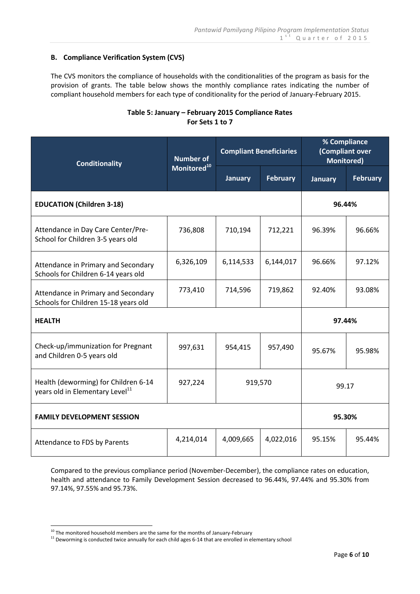## **B. Compliance Verification System (CVS)**

The CVS monitors the compliance of households with the conditionalities of the program as basis for the provision of grants. The table below shows the monthly compliance rates indicating the number of compliant household members for each type of conditionality for the period of January-February 2015.

| <b>Conditionality</b>                                                               | <b>Number of</b><br>Monitored <sup>10</sup> | <b>Compliant Beneficiaries</b> |                 | % Compliance<br>(Compliant over<br><b>Monitored)</b> |                 |
|-------------------------------------------------------------------------------------|---------------------------------------------|--------------------------------|-----------------|------------------------------------------------------|-----------------|
|                                                                                     |                                             | <b>January</b>                 | <b>February</b> | <b>January</b>                                       | <b>February</b> |
| <b>EDUCATION (Children 3-18)</b>                                                    |                                             |                                |                 | 96.44%                                               |                 |
| Attendance in Day Care Center/Pre-<br>School for Children 3-5 years old             | 736,808                                     | 710,194                        | 712,221         | 96.39%                                               | 96.66%          |
| Attendance in Primary and Secondary<br>Schools for Children 6-14 years old          | 6,326,109                                   | 6,114,533                      | 6,144,017       | 96.66%                                               | 97.12%          |
| Attendance in Primary and Secondary<br>Schools for Children 15-18 years old         | 773,410                                     | 714,596                        | 719,862         | 92.40%                                               | 93.08%          |
| <b>HEALTH</b>                                                                       |                                             |                                |                 | 97.44%                                               |                 |
| Check-up/immunization for Pregnant<br>and Children 0-5 years old                    | 997,631                                     | 954,415                        | 957,490         | 95.67%                                               | 95.98%          |
| Health (deworming) for Children 6-14<br>years old in Elementary Level <sup>11</sup> | 927,224                                     | 919,570                        |                 | 99.17                                                |                 |
| <b>FAMILY DEVELOPMENT SESSION</b>                                                   |                                             |                                |                 | 95.30%                                               |                 |
| Attendance to FDS by Parents                                                        | 4,214,014                                   | 4,009,665                      | 4,022,016       | 95.15%                                               | 95.44%          |

# **Table 5: January – February 2015 Compliance Rates For Sets 1 to 7**

Compared to the previous compliance period (November-December), the compliance rates on education, health and attendance to Family Development Session decreased to 96.44%, 97.44% and 95.30% from 97.14%, 97.55% and 95.73%.

<u>.</u>

 $10$  The monitored household members are the same for the months of January-February

 $11$  Deworming is conducted twice annually for each child ages 6-14 that are enrolled in elementary school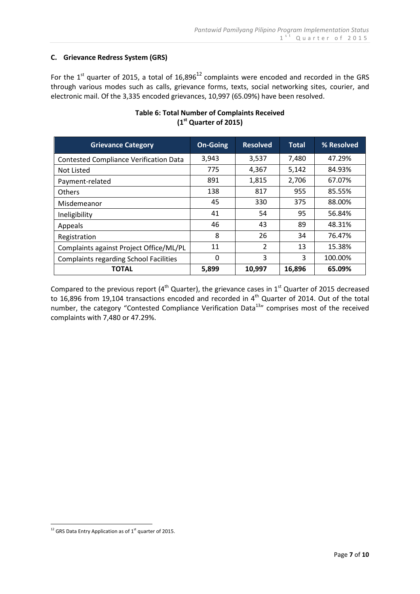# **C. Grievance Redress System (GRS)**

For the  $1^{st}$  quarter of 2015, a total of 16,896<sup>12</sup> complaints were encoded and recorded in the GRS through various modes such as calls, grievance forms, texts, social networking sites, courier, and electronic mail. Of the 3,335 encoded grievances, 10,997 (65.09%) have been resolved.

| <b>Grievance Category</b>                     | <b>On-Going</b> | <b>Resolved</b> | <b>Total</b> | % Resolved |
|-----------------------------------------------|-----------------|-----------------|--------------|------------|
| <b>Contested Compliance Verification Data</b> | 3,943           | 3,537           | 7,480        | 47.29%     |
| Not Listed                                    | 775             | 4,367           | 5,142        | 84.93%     |
| Payment-related                               | 891             | 1,815           | 2,706        | 67.07%     |
| <b>Others</b>                                 | 138             | 817             | 955          | 85.55%     |
| Misdemeanor                                   | 45              | 330             | 375          | 88.00%     |
| Ineligibility                                 | 41              | 54              | 95           | 56.84%     |
| Appeals                                       | 46              | 43              | 89           | 48.31%     |
| Registration                                  | 8               | 26              | 34           | 76.47%     |
| Complaints against Project Office/ML/PL       | 11              | $\overline{2}$  | 13           | 15.38%     |
| <b>Complaints regarding School Facilities</b> | 0               | 3               | 3            | 100.00%    |
| <b>TOTAL</b>                                  | 5,899           | 10,997          | 16,896       | 65.09%     |

# **Table 6: Total Number of Complaints Received (1 st Quarter of 2015)**

Compared to the previous report ( $4<sup>th</sup>$  Quarter), the grievance cases in  $1<sup>st</sup>$  Quarter of 2015 decreased to 16,896 from 19,104 transactions encoded and recorded in 4<sup>th</sup> Quarter of 2014. Out of the total number, the category "Contested Compliance Verification Data<sup>13</sup>" comprises most of the received complaints with 7,480 or 47.29%.

<sup>&</sup>lt;u>.</u>  $12$  GRS Data Entry Application as of  $1<sup>st</sup>$  quarter of 2015.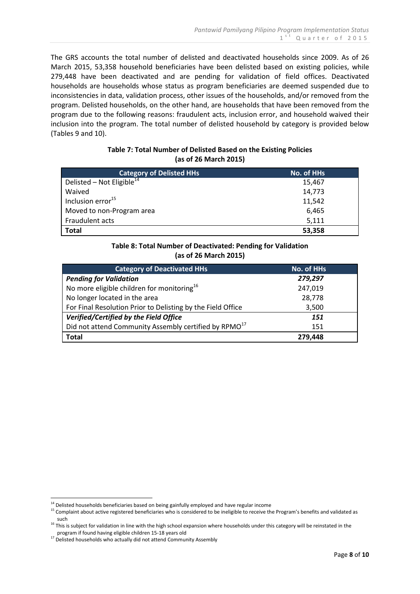The GRS accounts the total number of delisted and deactivated households since 2009. As of 26 March 2015, 53,358 household beneficiaries have been delisted based on existing policies, while 279,448 have been deactivated and are pending for validation of field offices. Deactivated households are households whose status as program beneficiaries are deemed suspended due to inconsistencies in data, validation process, other issues of the households, and/or removed from the program. Delisted households, on the other hand, are households that have been removed from the program due to the following reasons: fraudulent acts, inclusion error, and household waived their inclusion into the program. The total number of delisted household by category is provided below (Tables 9 and 10).

# **Table 7: Total Number of Delisted Based on the Existing Policies (as of 26 March 2015)**

| <b>Category of Delisted HHs</b>       | No. of HHs |
|---------------------------------------|------------|
| Delisted – Not Eligible <sup>14</sup> | 15,467     |
| Waived                                | 14,773     |
| Inclusion error <sup>15</sup>         | 11,542     |
| Moved to non-Program area             | 6,465      |
| Fraudulent acts                       | 5,111      |
| <b>Total</b>                          | 53,358     |

# **Table 8: Total Number of Deactivated: Pending for Validation (as of 26 March 2015)**

| <b>Category of Deactivated HHs</b>                                | No. of HHs |
|-------------------------------------------------------------------|------------|
| <b>Pending for Validation</b>                                     | 279,297    |
| No more eligible children for monitoring <sup>16</sup>            | 247,019    |
| No longer located in the area                                     | 28,778     |
| For Final Resolution Prior to Delisting by the Field Office       | 3,500      |
| Verified/Certified by the Field Office                            | 151        |
| Did not attend Community Assembly certified by RPMO <sup>17</sup> | 151        |
| <b>Total</b>                                                      | 279,448    |

<u>.</u>

<sup>&</sup>lt;sup>14</sup> Delisted households beneficiaries based on being gainfully employed and have regular income

<sup>&</sup>lt;sup>15</sup> Complaint about active registered beneficiaries who is considered to be ineligible to receive the Program's benefits and validated as such

 $16$  This is subject for validation in line with the high school expansion where households under this category will be reinstated in the program if found having eligible children 15-18 years old

<sup>&</sup>lt;sup>17</sup> Delisted households who actually did not attend Community Assembly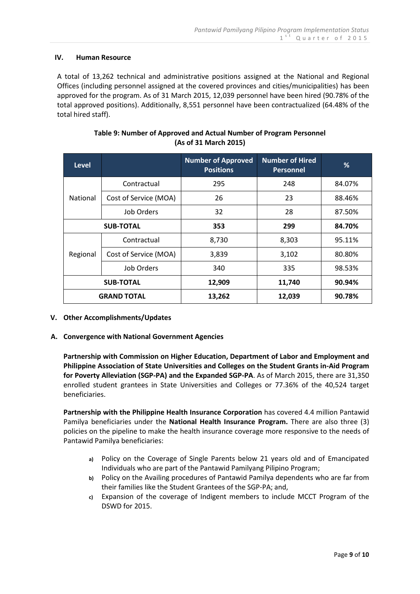#### **IV. Human Resource**

A total of 13,262 technical and administrative positions assigned at the National and Regional Offices (including personnel assigned at the covered provinces and cities/municipalities) has been approved for the program. As of 31 March 2015, 12,039 personnel have been hired (90.78% of the total approved positions). Additionally, 8,551 personnel have been contractualized (64.48% of the total hired staff).

| <b>Level</b>       |                       | <b>Number of Approved</b><br><b>Positions</b> | <b>Number of Hired</b><br><b>Personnel</b> | %      |
|--------------------|-----------------------|-----------------------------------------------|--------------------------------------------|--------|
|                    | Contractual           | 295                                           | 248                                        | 84.07% |
| National           | Cost of Service (MOA) | 26                                            | 23                                         | 88.46% |
|                    | Job Orders            | 32                                            | 28                                         | 87.50% |
| <b>SUB-TOTAL</b>   |                       | 353                                           | 299                                        | 84.70% |
|                    | Contractual           | 8,730                                         | 8,303                                      | 95.11% |
| Regional           | Cost of Service (MOA) | 3,839                                         | 3,102                                      | 80.80% |
|                    | Job Orders            | 340                                           | 335                                        | 98.53% |
| <b>SUB-TOTAL</b>   |                       | 12,909                                        | 11,740                                     | 90.94% |
| <b>GRAND TOTAL</b> |                       | 13,262                                        | 12,039                                     | 90.78% |

# **Table 9: Number of Approved and Actual Number of Program Personnel (As of 31 March 2015)**

#### **V. Other Accomplishments/Updates**

#### **A. Convergence with National Government Agencies**

**Partnership with Commission on Higher Education, Department of Labor and Employment and Philippine Association of State Universities and Colleges on the Student Grants in-Aid Program for Poverty Alleviation (SGP-PA) and the Expanded SGP-PA**. As of March 2015, there are 31,350 enrolled student grantees in State Universities and Colleges or 77.36% of the 40,524 target beneficiaries.

**Partnership with the Philippine Health Insurance Corporation** has covered 4.4 million Pantawid Pamilya beneficiaries under the **National Health Insurance Program.** There are also three (3) policies on the pipeline to make the health insurance coverage more responsive to the needs of Pantawid Pamilya beneficiaries:

- **a)** Policy on the Coverage of Single Parents below 21 years old and of Emancipated Individuals who are part of the Pantawid Pamilyang Pilipino Program;
- **b)** Policy on the Availing procedures of Pantawid Pamilya dependents who are far from their families like the Student Grantees of the SGP-PA; and,
- **c)** Expansion of the coverage of Indigent members to include MCCT Program of the DSWD for 2015.